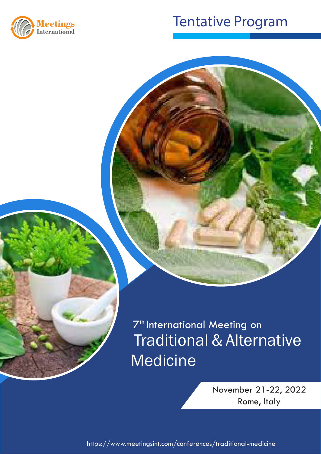

## Traditional Medicine 2021 Tentative Program

 Traditional & Alternative **Medicine** 7<sup>th</sup> International Meeting on

> November 21-22, 2022 Rome, Italy

https://www.meetingsint.com/conferences/traditional-medicine https://www.meetingsint.com/conferences/traditional-medicine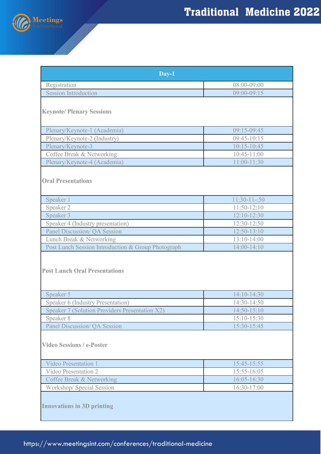

| Day-1                                              |                 |  |
|----------------------------------------------------|-----------------|--|
| Registration                                       | 08:00-09:00     |  |
| <b>Session Introduction</b>                        | $09:00 - 09:15$ |  |
| <b>Keynote/ Plenary Sessions</b>                   |                 |  |
| Plenary/Keynote-1 (Academia)                       | 09:15-09:45     |  |
| Plenary/Keynote-2 (Industry)                       | $09:45-10:15$   |  |
| Plenary/Keynote-3                                  | $10:15 - 10:45$ |  |
| Coffee Break & Networking                          | $10:45 - 11:00$ |  |
| Plenary/Keynote-4 (Academia)                       | 11:00-11:30     |  |
| <b>Oral Presentations</b>                          |                 |  |
| Speaker 1                                          | $11:30-11-50$   |  |
| Speaker 2                                          | $11:50-12:10$   |  |
| Speaker 3                                          | $12:10-12:30$   |  |
| Speaker 4 (Industry presentation)                  | 12:30-12:50     |  |
| <b>Panel Discussion/ QA Session</b>                | 12:50-13:10     |  |
| Lunch Break & Networking                           | $13:10-14:00$   |  |
| Post Lunch Session Introduction & Group Photograph | 14:00-14:10     |  |
| <b>Post Lunch Oral Presentations</b>               |                 |  |
| Speaker 5                                          | 14:10-14:30     |  |
| Speaker 6 (Industry Presentation)                  | 14:30-14:50     |  |
| Speaker 7 (Solution Providers Presentation X2)     | 14:50-15:10     |  |
| Speaker 8                                          | 15:10-15:30     |  |
| Panel Discussion/ QA Session                       | 15:30-15:45     |  |
| <b>Video Sessions / e-Poster</b>                   |                 |  |
| <b>Video Presentation 1</b>                        | 15:45-15:55     |  |
| Video Presentation 2                               | 15:55-16:05     |  |
| Coffee Break & Networking                          | 16:05-16:30     |  |
| Workshop/ Special Session                          | 16:30-17:00     |  |
| <b>Innovations in 3D printing</b>                  |                 |  |